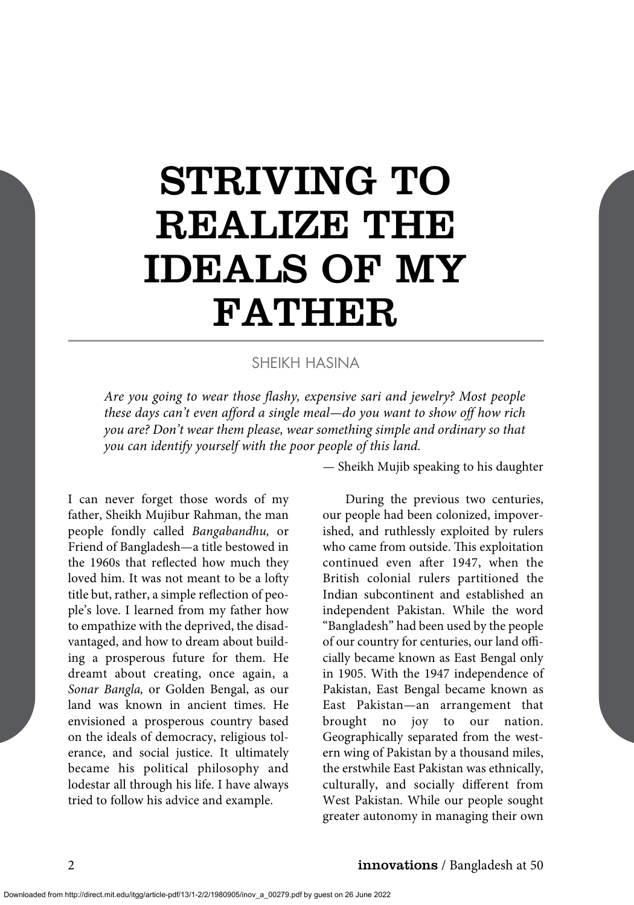# STRIVING TO REALIZE THE IDEALS OF MY FATHER

#### SHEIKH HASINA

*Are you going to wear those flashy, expensive sari and jewelry? Most people these days can't even afford a single meal—do you want to show off how rich you are? Don't wear them please, wear something simple and ordinary so that you can identify yourself with the poor people of this land.*

I can never forget those words of my father, Sheikh Mujibur Rahman, the man people fondly called *Bangabandhu,* or Friend of Bangladesh—a title bestowed in the 1960s that reflected how much they loved him. It was not meant to be a lofty title but, rather, a simple reflection of people's love. I learned from my father how to empathize with the deprived, the disadvantaged, and how to dream about building a prosperous future for them. He dreamt about creating, once again, a *Sonar Bangla,* or Golden Bengal, as our land was known in ancient times. He envisioned a prosperous country based on the ideals of democracy, religious tolerance, and social justice. It ultimately became his political philosophy and lodestar all through his life. I have always tried to follow his advice and example.

*—* Sheikh Mujib speaking to his daughter

During the previous two centuries, our people had been colonized, impoverished, and ruthlessly exploited by rulers who came from outside. This exploitation continued even after 1947, when the British colonial rulers partitioned the Indian subcontinent and established an independent Pakistan. While the word "Bangladesh" had been used by the people of our country for centuries, our land officially became known as East Bengal only in 1905. With the 1947 independence of Pakistan, East Bengal became known as East Pakistan—an arrangement that brought no joy to our nation. Geographically separated from the western wing of Pakistan by a thousand miles, the erstwhile East Pakistan was ethnically, culturally, and socially different from West Pakistan. While our people sought greater autonomy in managing their own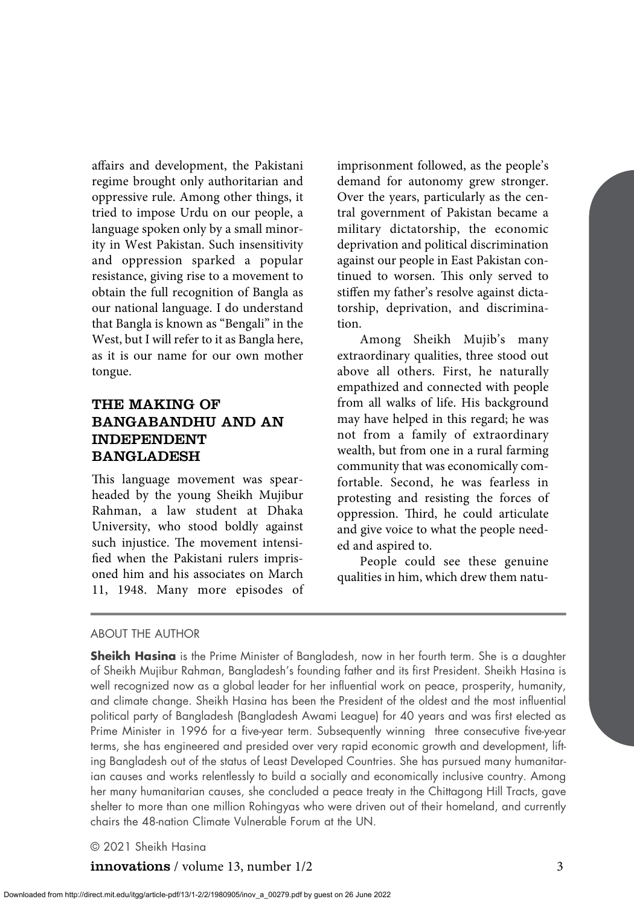affairs and development, the Pakistani regime brought only authoritarian and oppressive rule. Among other things, it tried to impose Urdu on our people, a language spoken only by a small minority in West Pakistan. Such insensitivity and oppression sparked a popular resistance, giving rise to a movement to obtain the full recognition of Bangla as our national language. I do understand that Bangla is known as "Bengali" in the West, but I will refer to it as Bangla here, as it is our name for our own mother tongue.

# THE MAKING OF BANGABANDHU AND AN INDEPENDENT BANGLADESH

This language movement was spearheaded by the young Sheikh Mujibur Rahman, a law student at Dhaka University, who stood boldly against such injustice. The movement intensified when the Pakistani rulers imprisoned him and his associates on March 11, 1948. Many more episodes of imprisonment followed, as the people's demand for autonomy grew stronger. Over the years, particularly as the central government of Pakistan became a military dictatorship, the economic deprivation and political discrimination against our people in East Pakistan continued to worsen. This only served to stiffen my father's resolve against dictatorship, deprivation, and discrimination.

Among Sheikh Mujib's many extraordinary qualities, three stood out above all others. First, he naturally empathized and connected with people from all walks of life. His background may have helped in this regard; he was not from a family of extraordinary wealth, but from one in a rural farming community that was economically comfortable. Second, he was fearless in protesting and resisting the forces of oppression. Third, he could articulate and give voice to what the people needed and aspired to.

People could see these genuine qualities in him, which drew them natu-

#### ABOUT THE AUTHOR

**Sheikh Hasina** is the Prime Minister of Bangladesh, now in her fourth term. She is a daughter of Sheikh Mujibur Rahman, Bangladesh's founding father and its first President. Sheikh Hasina is well recognized now as a global leader for her influential work on peace, prosperity, humanity, and climate change. Sheikh Hasina has been the President of the oldest and the most influential political party of Bangladesh (Bangladesh Awami League) for 40 years and was first elected as Prime Minister in 1996 for a five-year term. Subsequently winning three consecutive five-year terms, she has engineered and presided over very rapid economic growth and development, lifting Bangladesh out of the status of Least Developed Countries. She has pursued many humanitarian causes and works relentlessly to build a socially and economically inclusive country. Among her many humanitarian causes, she concluded a peace treaty in the Chittagong Hill Tracts, gave shelter to more than one million Rohingyas who were driven out of their homeland, and currently chairs the 48-nation Climate Vulnerable Forum at the UN.

© 2021 Sheikh Hasina

innovations / volume 13, number 1/2 3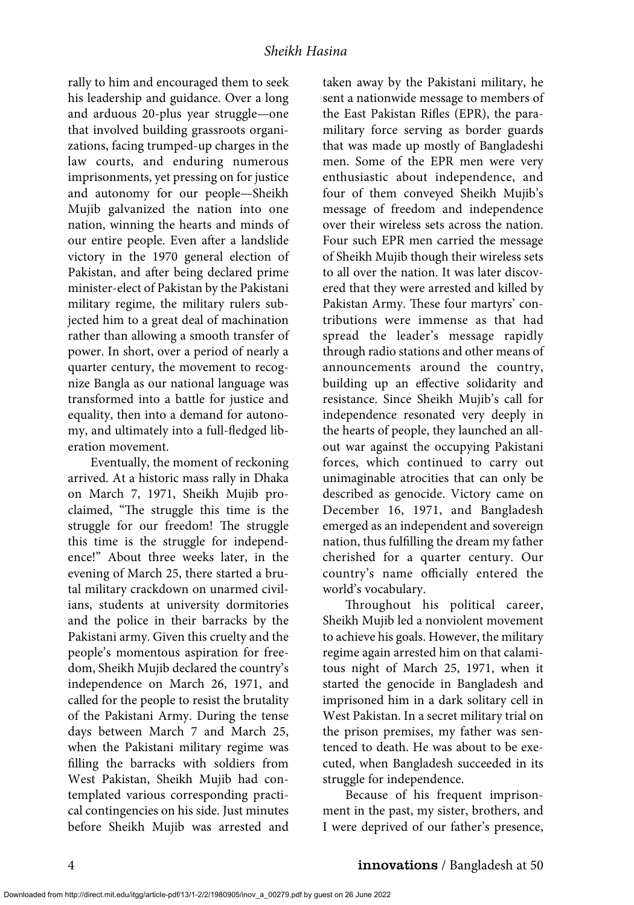rally to him and encouraged them to seek his leadership and guidance. Over a long and arduous 20-plus year struggle—one that involved building grassroots organizations, facing trumped-up charges in the law courts, and enduring numerous imprisonments, yet pressing on for justice and autonomy for our people—Sheikh Mujib galvanized the nation into one nation, winning the hearts and minds of our entire people. Even after a landslide victory in the 1970 general election of Pakistan, and after being declared prime minister-elect of Pakistan by the Pakistani military regime, the military rulers subjected him to a great deal of machination rather than allowing a smooth transfer of power. In short, over a period of nearly a quarter century, the movement to recognize Bangla as our national language was transformed into a battle for justice and equality, then into a demand for autonomy, and ultimately into a full-fledged liberation movement.

Eventually, the moment of reckoning arrived. At a historic mass rally in Dhaka on March 7, 1971, Sheikh Mujib proclaimed, "The struggle this time is the struggle for our freedom! The struggle this time is the struggle for independence!" About three weeks later, in the evening of March 25, there started a brutal military crackdown on unarmed civilians, students at university dormitories and the police in their barracks by the Pakistani army. Given this cruelty and the people's momentous aspiration for freedom, Sheikh Mujib declared the country's independence on March 26, 1971, and called for the people to resist the brutality of the Pakistani Army. During the tense days between March 7 and March 25, when the Pakistani military regime was filling the barracks with soldiers from West Pakistan, Sheikh Mujib had contemplated various corresponding practical contingencies on his side. Just minutes before Sheikh Mujib was arrested and taken away by the Pakistani military, he sent a nationwide message to members of the East Pakistan Rifles (EPR), the paramilitary force serving as border guards that was made up mostly of Bangladeshi men. Some of the EPR men were very enthusiastic about independence, and four of them conveyed Sheikh Mujib's message of freedom and independence over their wireless sets across the nation. Four such EPR men carried the message of Sheikh Mujib though their wireless sets to all over the nation. It was later discovered that they were arrested and killed by Pakistan Army. These four martyrs' contributions were immense as that had spread the leader's message rapidly through radio stations and other means of announcements around the country, building up an effective solidarity and resistance. Since Sheikh Mujib's call for independence resonated very deeply in the hearts of people, they launched an allout war against the occupying Pakistani forces, which continued to carry out unimaginable atrocities that can only be described as genocide. Victory came on December 16, 1971, and Bangladesh emerged as an independent and sovereign nation, thus fulfilling the dream my father cherished for a quarter century. Our country's name officially entered the world's vocabulary.

Throughout his political career, Sheikh Mujib led a nonviolent movement to achieve his goals. However, the military regime again arrested him on that calamitous night of March 25, 1971, when it started the genocide in Bangladesh and imprisoned him in a dark solitary cell in West Pakistan. In a secret military trial on the prison premises, my father was sentenced to death. He was about to be executed, when Bangladesh succeeded in its struggle for independence.

Because of his frequent imprisonment in the past, my sister, brothers, and I were deprived of our father's presence,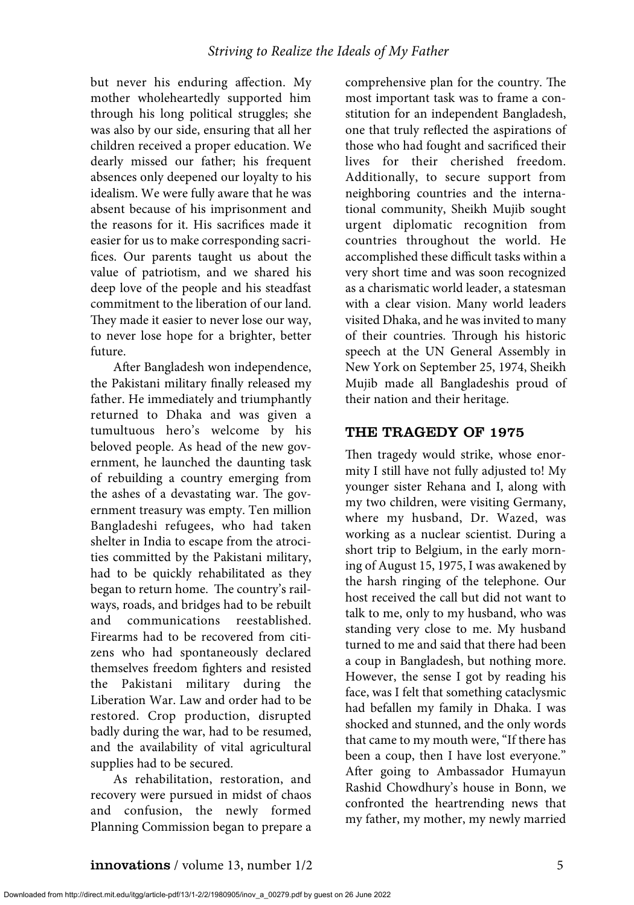but never his enduring affection. My mother wholeheartedly supported him through his long political struggles; she was also by our side, ensuring that all her children received a proper education. We dearly missed our father; his frequent absences only deepened our loyalty to his idealism. We were fully aware that he was absent because of his imprisonment and the reasons for it. His sacrifices made it easier for us to make corresponding sacrifices. Our parents taught us about the value of patriotism, and we shared his deep love of the people and his steadfast commitment to the liberation of our land. They made it easier to never lose our way, to never lose hope for a brighter, better future.

After Bangladesh won independence, the Pakistani military finally released my father. He immediately and triumphantly returned to Dhaka and was given a tumultuous hero's welcome by his beloved people. As head of the new government, he launched the daunting task of rebuilding a country emerging from the ashes of a devastating war. The government treasury was empty. Ten million Bangladeshi refugees, who had taken shelter in India to escape from the atrocities committed by the Pakistani military, had to be quickly rehabilitated as they began to return home. The country's railways, roads, and bridges had to be rebuilt and communications reestablished. Firearms had to be recovered from citizens who had spontaneously declared themselves freedom fighters and resisted the Pakistani military during the Liberation War. Law and order had to be restored. Crop production, disrupted badly during the war, had to be resumed, and the availability of vital agricultural supplies had to be secured.

As rehabilitation, restoration, and recovery were pursued in midst of chaos and confusion, the newly formed Planning Commission began to prepare a

comprehensive plan for the country. The most important task was to frame a constitution for an independent Bangladesh, one that truly reflected the aspirations of those who had fought and sacrificed their lives for their cherished freedom. Additionally, to secure support from neighboring countries and the international community, Sheikh Mujib sought urgent diplomatic recognition from countries throughout the world. He accomplished these difficult tasks within a very short time and was soon recognized as a charismatic world leader, a statesman with a clear vision. Many world leaders visited Dhaka, and he was invited to many of their countries. Through his historic speech at the UN General Assembly in New York on September 25, 1974, Sheikh Mujib made all Bangladeshis proud of their nation and their heritage.

#### THE TRAGEDY OF 1975

Then tragedy would strike, whose enormity I still have not fully adjusted to! My younger sister Rehana and I, along with my two children, were visiting Germany, where my husband, Dr. Wazed, was working as a nuclear scientist. During a short trip to Belgium, in the early morning of August 15, 1975, I was awakened by the harsh ringing of the telephone. Our host received the call but did not want to talk to me, only to my husband, who was standing very close to me. My husband turned to me and said that there had been a coup in Bangladesh, but nothing more. However, the sense I got by reading his face, was I felt that something cataclysmic had befallen my family in Dhaka. I was shocked and stunned, and the only words that came to my mouth were, "If there has been a coup, then I have lost everyone." After going to Ambassador Humayun Rashid Chowdhury's house in Bonn, we confronted the heartrending news that my father, my mother, my newly married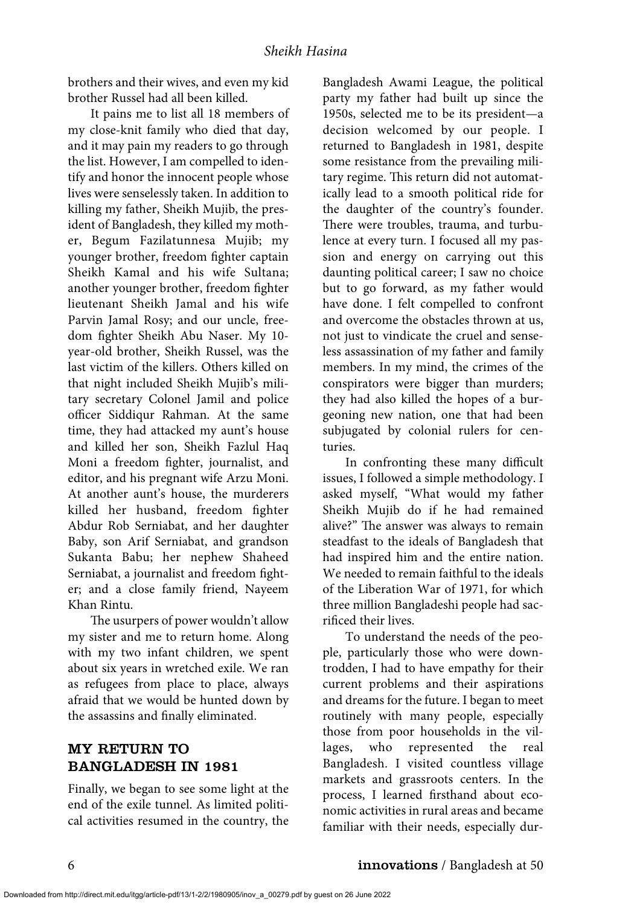brothers and their wives, and even my kid brother Russel had all been killed.

It pains me to list all 18 members of my close-knit family who died that day, and it may pain my readers to go through the list. However, I am compelled to identify and honor the innocent people whose lives were senselessly taken. In addition to killing my father, Sheikh Mujib, the president of Bangladesh, they killed my mother, Begum Fazilatunnesa Mujib; my younger brother, freedom fighter captain Sheikh Kamal and his wife Sultana; another younger brother, freedom fighter lieutenant Sheikh Jamal and his wife Parvin Jamal Rosy; and our uncle, freedom fighter Sheikh Abu Naser. My 10 year-old brother, Sheikh Russel, was the last victim of the killers. Others killed on that night included Sheikh Mujib's military secretary Colonel Jamil and police officer Siddiqur Rahman. At the same time, they had attacked my aunt's house and killed her son, Sheikh Fazlul Haq Moni a freedom fighter, journalist, and editor, and his pregnant wife Arzu Moni. At another aunt's house, the murderers killed her husband, freedom fighter Abdur Rob Serniabat, and her daughter Baby, son Arif Serniabat, and grandson Sukanta Babu; her nephew Shaheed Serniabat, a journalist and freedom fighter; and a close family friend, Nayeem Khan Rintu.

The usurpers of power wouldn't allow my sister and me to return home. Along with my two infant children, we spent about six years in wretched exile. We ran as refugees from place to place, always afraid that we would be hunted down by the assassins and finally eliminated.

# MY RETURN TO BANGLADESH IN 1981

Finally, we began to see some light at the end of the exile tunnel. As limited political activities resumed in the country, the Bangladesh Awami League, the political party my father had built up since the 1950s, selected me to be its president—a decision welcomed by our people. I returned to Bangladesh in 1981, despite some resistance from the prevailing military regime. This return did not automatically lead to a smooth political ride for the daughter of the country's founder. There were troubles, trauma, and turbulence at every turn. I focused all my passion and energy on carrying out this daunting political career; I saw no choice but to go forward, as my father would have done. I felt compelled to confront and overcome the obstacles thrown at us, not just to vindicate the cruel and senseless assassination of my father and family members. In my mind, the crimes of the conspirators were bigger than murders; they had also killed the hopes of a burgeoning new nation, one that had been subjugated by colonial rulers for centuries.

In confronting these many difficult issues, I followed a simple methodology. I asked myself, "What would my father Sheikh Mujib do if he had remained alive?" The answer was always to remain steadfast to the ideals of Bangladesh that had inspired him and the entire nation. We needed to remain faithful to the ideals of the Liberation War of 1971, for which three million Bangladeshi people had sacrificed their lives.

To understand the needs of the people, particularly those who were downtrodden, I had to have empathy for their current problems and their aspirations and dreams for the future. I began to meet routinely with many people, especially those from poor households in the villages, who represented the real Bangladesh. I visited countless village markets and grassroots centers. In the process, I learned firsthand about economic activities in rural areas and became familiar with their needs, especially dur-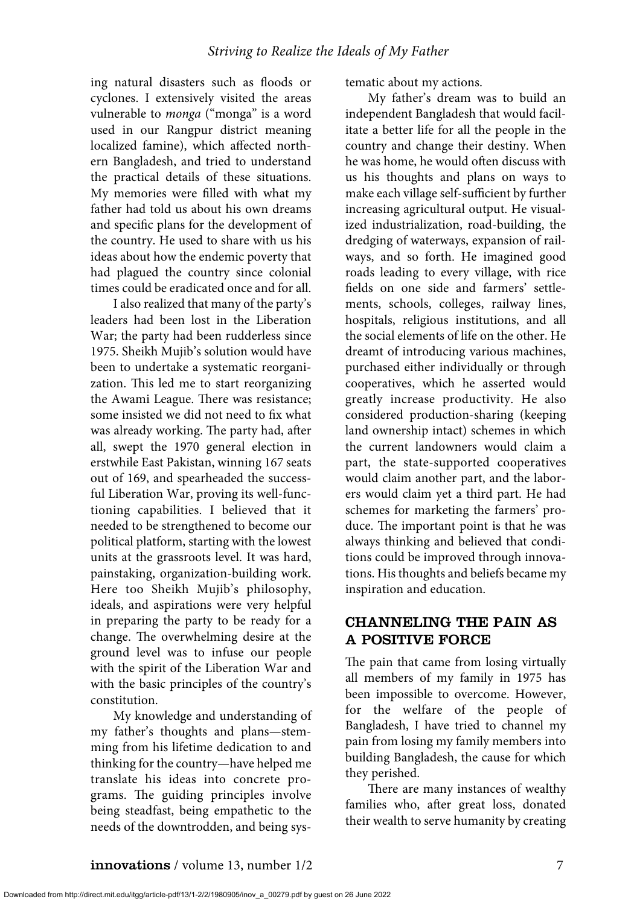ing natural disasters such as floods or cyclones. I extensively visited the areas vulnerable to *monga* ("monga" is a word used in our Rangpur district meaning localized famine), which affected northern Bangladesh, and tried to understand the practical details of these situations. My memories were filled with what my father had told us about his own dreams and specific plans for the development of the country. He used to share with us his ideas about how the endemic poverty that had plagued the country since colonial times could be eradicated once and for all.

I also realized that many of the party's leaders had been lost in the Liberation War; the party had been rudderless since 1975. Sheikh Mujib's solution would have been to undertake a systematic reorganization. This led me to start reorganizing the Awami League. There was resistance; some insisted we did not need to fix what was already working. The party had, after all, swept the 1970 general election in erstwhile East Pakistan, winning 167 seats out of 169, and spearheaded the successful Liberation War, proving its well-functioning capabilities. I believed that it needed to be strengthened to become our political platform, starting with the lowest units at the grassroots level. It was hard, painstaking, organization-building work. Here too Sheikh Mujib's philosophy, ideals, and aspirations were very helpful in preparing the party to be ready for a change. The overwhelming desire at the ground level was to infuse our people with the spirit of the Liberation War and with the basic principles of the country's constitution.

My knowledge and understanding of my father's thoughts and plans—stemming from his lifetime dedication to and thinking for the country—have helped me translate his ideas into concrete programs. The guiding principles involve being steadfast, being empathetic to the needs of the downtrodden, and being systematic about my actions.

My father's dream was to build an independent Bangladesh that would facilitate a better life for all the people in the country and change their destiny. When he was home, he would often discuss with us his thoughts and plans on ways to make each village self-sufficient by further increasing agricultural output. He visualized industrialization, road-building, the dredging of waterways, expansion of railways, and so forth. He imagined good roads leading to every village, with rice fields on one side and farmers' settlements, schools, colleges, railway lines, hospitals, religious institutions, and all the social elements of life on the other. He dreamt of introducing various machines, purchased either individually or through cooperatives, which he asserted would greatly increase productivity. He also considered production-sharing (keeping land ownership intact) schemes in which the current landowners would claim a part, the state-supported cooperatives would claim another part, and the laborers would claim yet a third part. He had schemes for marketing the farmers' produce. The important point is that he was always thinking and believed that conditions could be improved through innovations. His thoughts and beliefs became my inspiration and education.

# CHANNELING THE PAIN AS A POSITIVE FORCE

The pain that came from losing virtually all members of my family in 1975 has been impossible to overcome. However, for the welfare of the people of Bangladesh, I have tried to channel my pain from losing my family members into building Bangladesh, the cause for which they perished.

There are many instances of wealthy families who, after great loss, donated their wealth to serve humanity by creating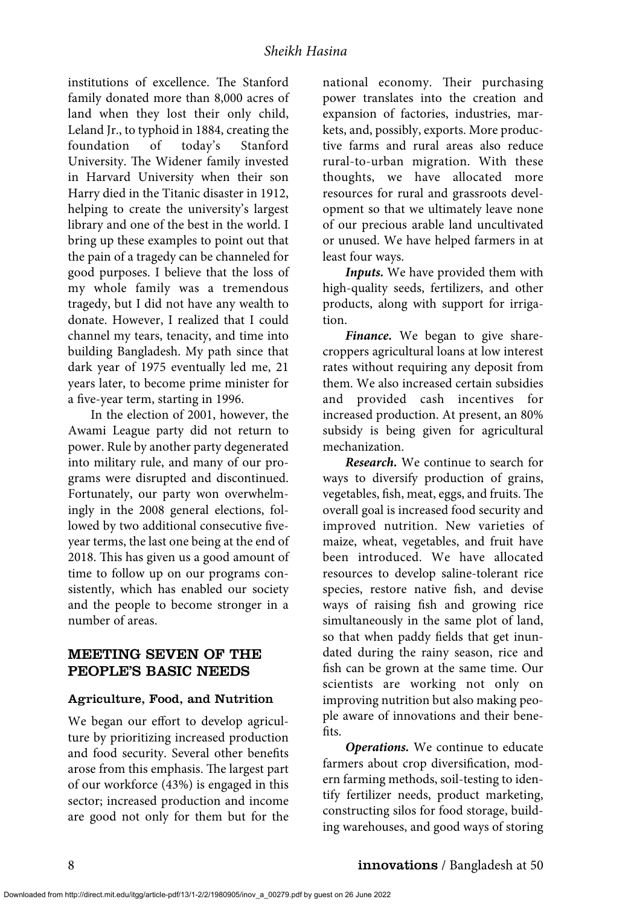institutions of excellence. The Stanford family donated more than 8,000 acres of land when they lost their only child, Leland Jr., to typhoid in 1884, creating the foundation of today's Stanford University. The Widener family invested in Harvard University when their son Harry died in the Titanic disaster in 1912, helping to create the university's largest library and one of the best in the world. I bring up these examples to point out that the pain of a tragedy can be channeled for good purposes. I believe that the loss of my whole family was a tremendous tragedy, but I did not have any wealth to donate. However, I realized that I could channel my tears, tenacity, and time into building Bangladesh. My path since that dark year of 1975 eventually led me, 21 years later, to become prime minister for a five-year term, starting in 1996.

In the election of 2001, however, the Awami League party did not return to power. Rule by another party degenerated into military rule, and many of our programs were disrupted and discontinued. Fortunately, our party won overwhelmingly in the 2008 general elections, followed by two additional consecutive fiveyear terms, the last one being at the end of 2018. This has given us a good amount of time to follow up on our programs consistently, which has enabled our society and the people to become stronger in a number of areas.

### MEETING SEVEN OF THE PEOPLE'S BASIC NEEDS

#### Agriculture, Food, and Nutrition

We began our effort to develop agriculture by prioritizing increased production and food security. Several other benefits arose from this emphasis. The largest part of our workforce (43%) is engaged in this sector; increased production and income are good not only for them but for the national economy. Their purchasing power translates into the creation and expansion of factories, industries, markets, and, possibly, exports. More productive farms and rural areas also reduce rural-to-urban migration. With these thoughts, we have allocated more resources for rural and grassroots development so that we ultimately leave none of our precious arable land uncultivated or unused. We have helped farmers in at least four ways.

*Inputs.* We have provided them with high-quality seeds, fertilizers, and other products, along with support for irrigation.

*Finance.* We began to give sharecroppers agricultural loans at low interest rates without requiring any deposit from them. We also increased certain subsidies and provided cash incentives for increased production. At present, an 80% subsidy is being given for agricultural mechanization.

*Research.* We continue to search for ways to diversify production of grains, vegetables, fish, meat, eggs, and fruits. The overall goal is increased food security and improved nutrition. New varieties of maize, wheat, vegetables, and fruit have been introduced. We have allocated resources to develop saline-tolerant rice species, restore native fish, and devise ways of raising fish and growing rice simultaneously in the same plot of land, so that when paddy fields that get inundated during the rainy season, rice and fish can be grown at the same time. Our scientists are working not only on improving nutrition but also making people aware of innovations and their benefits.

*Operations.* We continue to educate farmers about crop diversification, modern farming methods, soil-testing to identify fertilizer needs, product marketing, constructing silos for food storage, building warehouses, and good ways of storing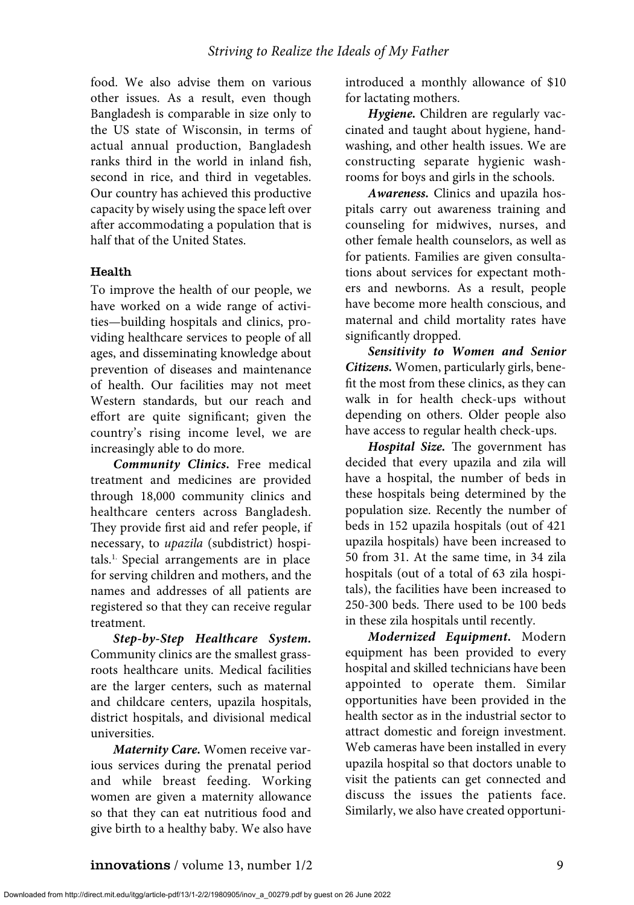food. We also advise them on various other issues. As a result, even though Bangladesh is comparable in size only to the US state of Wisconsin, in terms of actual annual production, Bangladesh ranks third in the world in inland fish, second in rice, and third in vegetables. Our country has achieved this productive capacity by wisely using the space left over after accommodating a population that is half that of the United States.

#### Health

To improve the health of our people, we have worked on a wide range of activities—building hospitals and clinics, providing healthcare services to people of all ages, and disseminating knowledge about prevention of diseases and maintenance of health. Our facilities may not meet Western standards, but our reach and effort are quite significant; given the country's rising income level, we are increasingly able to do more.

*Community Clinics***.** Free medical treatment and medicines are provided through 18,000 community clinics and healthcare centers across Bangladesh. They provide first aid and refer people, if necessary, to *upazila* (subdistrict) hospitals.1. Special arrangements are in place for serving children and mothers, and the names and addresses of all patients are registered so that they can receive regular treatment.

*Step-by-Step Healthcare System.* Community clinics are the smallest grassroots healthcare units. Medical facilities are the larger centers, such as maternal and childcare centers, upazila hospitals, district hospitals, and divisional medical universities.

*Maternity Care.* Women receive various services during the prenatal period and while breast feeding. Working women are given a maternity allowance so that they can eat nutritious food and give birth to a healthy baby. We also have introduced a monthly allowance of \$10 for lactating mothers.

*Hygiene.* Children are regularly vaccinated and taught about hygiene, handwashing, and other health issues. We are constructing separate hygienic washrooms for boys and girls in the schools.

*Awareness.* Clinics and upazila hospitals carry out awareness training and counseling for midwives, nurses, and other female health counselors, as well as for patients. Families are given consultations about services for expectant mothers and newborns. As a result, people have become more health conscious, and maternal and child mortality rates have significantly dropped.

*Sensitivity to Women and Senior Citizens.* Women, particularly girls, benefit the most from these clinics, as they can walk in for health check-ups without depending on others. Older people also have access to regular health check-ups.

*Hospital Size.* The government has decided that every upazila and zila will have a hospital, the number of beds in these hospitals being determined by the population size. Recently the number of beds in 152 upazila hospitals (out of 421 upazila hospitals) have been increased to 50 from 31. At the same time, in 34 zila hospitals (out of a total of 63 zila hospitals), the facilities have been increased to 250-300 beds. There used to be 100 beds in these zila hospitals until recently.

*Modernized Equipment.* Modern equipment has been provided to every hospital and skilled technicians have been appointed to operate them. Similar opportunities have been provided in the health sector as in the industrial sector to attract domestic and foreign investment. Web cameras have been installed in every upazila hospital so that doctors unable to visit the patients can get connected and discuss the issues the patients face. Similarly, we also have created opportuni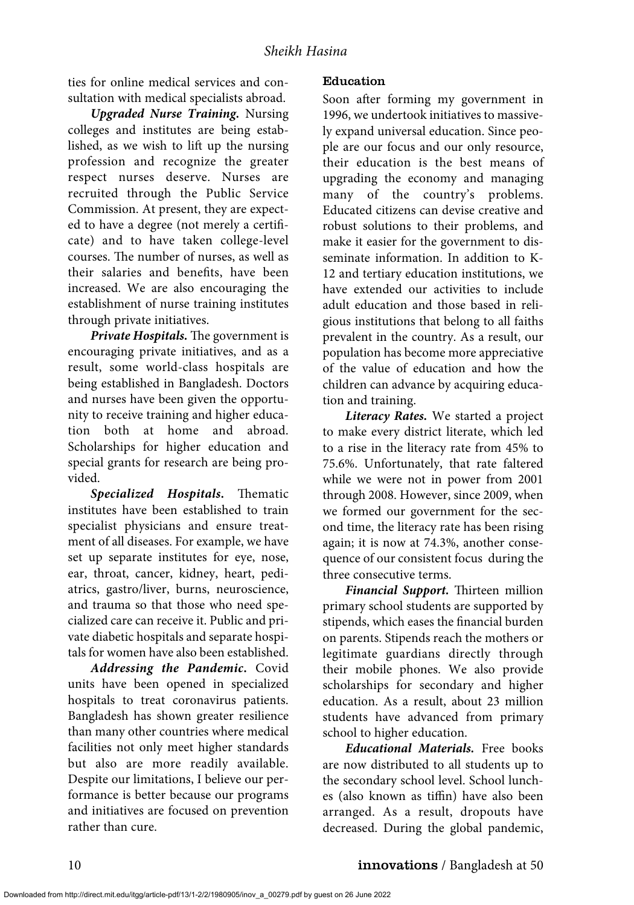ties for online medical services and consultation with medical specialists abroad.

*Upgraded Nurse Training***.** Nursing colleges and institutes are being established, as we wish to lift up the nursing profession and recognize the greater respect nurses deserve. Nurses are recruited through the Public Service Commission. At present, they are expected to have a degree (not merely a certificate) and to have taken college-level courses. The number of nurses, as well as their salaries and benefits, have been increased. We are also encouraging the establishment of nurse training institutes through private initiatives.

*Private Hospitals.* The government is encouraging private initiatives, and as a result, some world-class hospitals are being established in Bangladesh. Doctors and nurses have been given the opportunity to receive training and higher education both at home and abroad. Scholarships for higher education and special grants for research are being provided.

*Specialized Hospitals***.** Thematic institutes have been established to train specialist physicians and ensure treatment of all diseases. For example, we have set up separate institutes for eye, nose, ear, throat, cancer, kidney, heart, pediatrics, gastro/liver, burns, neuroscience, and trauma so that those who need specialized care can receive it. Public and private diabetic hospitals and separate hospitals for women have also been established.

*Addressing the Pandemic***.** Covid units have been opened in specialized hospitals to treat coronavirus patients. Bangladesh has shown greater resilience than many other countries where medical facilities not only meet higher standards but also are more readily available. Despite our limitations, I believe our performance is better because our programs and initiatives are focused on prevention rather than cure.

#### Education

Soon after forming my government in 1996, we undertook initiatives to massively expand universal education. Since people are our focus and our only resource, their education is the best means of upgrading the economy and managing many of the country's problems. Educated citizens can devise creative and robust solutions to their problems, and make it easier for the government to disseminate information. In addition to K-12 and tertiary education institutions, we have extended our activities to include adult education and those based in religious institutions that belong to all faiths prevalent in the country. As a result, our population has become more appreciative of the value of education and how the children can advance by acquiring education and training.

*Literacy Rates.* We started a project to make every district literate, which led to a rise in the literacy rate from 45% to 75.6%. Unfortunately, that rate faltered while we were not in power from 2001 through 2008. However, since 2009, when we formed our government for the second time, the literacy rate has been rising again; it is now at 74.3%, another consequence of our consistent focus during the three consecutive terms.

*Financial Support.* Thirteen million primary school students are supported by stipends, which eases the financial burden on parents. Stipends reach the mothers or legitimate guardians directly through their mobile phones. We also provide scholarships for secondary and higher education. As a result, about 23 million students have advanced from primary school to higher education.

*Educational Materials.* Free books are now distributed to all students up to the secondary school level. School lunches (also known as tiffin) have also been arranged. As a result, dropouts have decreased. During the global pandemic,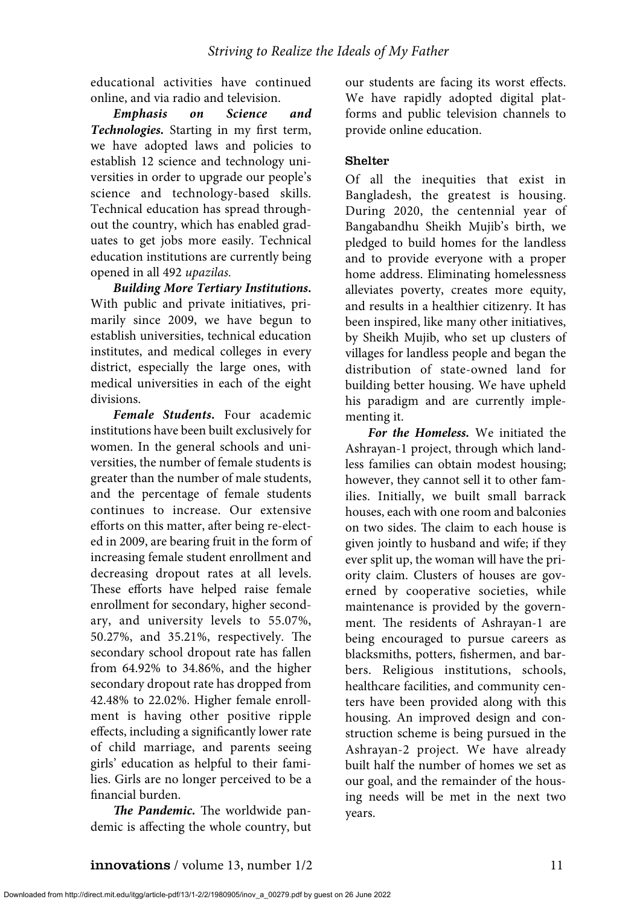educational activities have continued online, and via radio and television.

*Emphasis on Science and Technologies.* Starting in my first term, we have adopted laws and policies to establish 12 science and technology universities in order to upgrade our people's science and technology-based skills. Technical education has spread throughout the country, which has enabled graduates to get jobs more easily. Technical education institutions are currently being opened in all 492 *upazilas.* 

*Building More Tertiary Institutions***.** With public and private initiatives, primarily since 2009, we have begun to establish universities, technical education institutes, and medical colleges in every district, especially the large ones, with medical universities in each of the eight divisions.

*Female Students.* Four academic institutions have been built exclusively for women. In the general schools and universities, the number of female students is greater than the number of male students, and the percentage of female students continues to increase. Our extensive efforts on this matter, after being re-elected in 2009, are bearing fruit in the form of increasing female student enrollment and decreasing dropout rates at all levels. These efforts have helped raise female enrollment for secondary, higher secondary, and university levels to 55.07%, 50.27%, and 35.21%, respectively. The secondary school dropout rate has fallen from 64.92% to 34.86%, and the higher secondary dropout rate has dropped from 42.48% to 22.02%. Higher female enrollment is having other positive ripple effects, including a significantly lower rate of child marriage, and parents seeing girls' education as helpful to their families. Girls are no longer perceived to be a financial burden.

*The Pandemic.* The worldwide pandemic is affecting the whole country, but our students are facing its worst effects. We have rapidly adopted digital platforms and public television channels to provide online education.

#### Shelter

Of all the inequities that exist in Bangladesh, the greatest is housing. During 2020, the centennial year of Bangabandhu Sheikh Mujib's birth, we pledged to build homes for the landless and to provide everyone with a proper home address. Eliminating homelessness alleviates poverty, creates more equity, and results in a healthier citizenry. It has been inspired, like many other initiatives, by Sheikh Mujib, who set up clusters of villages for landless people and began the distribution of state-owned land for building better housing. We have upheld his paradigm and are currently implementing it.

*For the Homeless.* We initiated the Ashrayan-1 project, through which landless families can obtain modest housing; however, they cannot sell it to other families. Initially, we built small barrack houses, each with one room and balconies on two sides. The claim to each house is given jointly to husband and wife; if they ever split up, the woman will have the priority claim. Clusters of houses are governed by cooperative societies, while maintenance is provided by the government. The residents of Ashrayan-1 are being encouraged to pursue careers as blacksmiths, potters, fishermen, and barbers. Religious institutions, schools, healthcare facilities, and community centers have been provided along with this housing. An improved design and construction scheme is being pursued in the Ashrayan-2 project. We have already built half the number of homes we set as our goal, and the remainder of the housing needs will be met in the next two years.

Downloaded from http://direct.mit.edu/itgg/article-pdf/13/1-2/2/1980905/inov\_a\_00279.pdf by guest on 26 June 2022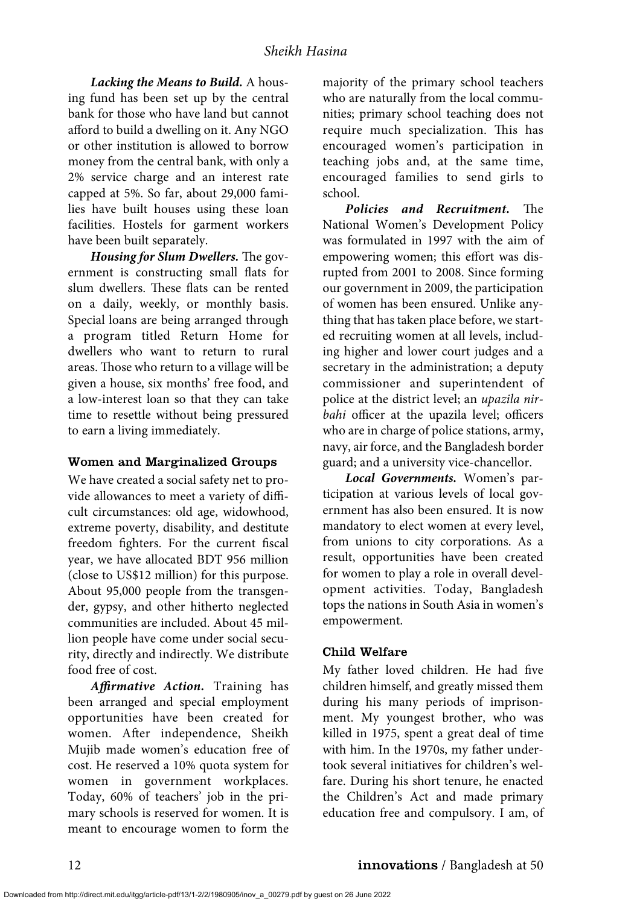#### *Sheikh Hasina*

*Lacking the Means to Build.* A housing fund has been set up by the central bank for those who have land but cannot afford to build a dwelling on it. Any NGO or other institution is allowed to borrow money from the central bank, with only a 2% service charge and an interest rate capped at 5%. So far, about 29,000 families have built houses using these loan facilities. Hostels for garment workers have been built separately.

*Housing for Slum Dwellers.* The government is constructing small flats for slum dwellers. These flats can be rented on a daily, weekly, or monthly basis. Special loans are being arranged through a program titled Return Home for dwellers who want to return to rural areas. Those who return to a village will be given a house, six months' free food, and a low-interest loan so that they can take time to resettle without being pressured to earn a living immediately.

#### Women and Marginalized Groups

We have created a social safety net to provide allowances to meet a variety of difficult circumstances: old age, widowhood, extreme poverty, disability, and destitute freedom fighters. For the current fiscal year, we have allocated BDT 956 million (close to US\$12 million) for this purpose. About 95,000 people from the transgender, gypsy, and other hitherto neglected communities are included. About 45 million people have come under social security, directly and indirectly. We distribute food free of cost.

*Affirmative Action.* Training has been arranged and special employment opportunities have been created for women. After independence, Sheikh Mujib made women's education free of cost. He reserved a 10% quota system for women in government workplaces. Today, 60% of teachers' job in the primary schools is reserved for women. It is meant to encourage women to form the

majority of the primary school teachers who are naturally from the local communities; primary school teaching does not require much specialization. This has encouraged women's participation in teaching jobs and, at the same time, encouraged families to send girls to school.

*Policies and Recruitment.* The National Women's Development Policy was formulated in 1997 with the aim of empowering women; this effort was disrupted from 2001 to 2008. Since forming our government in 2009, the participation of women has been ensured. Unlike anything that has taken place before, we started recruiting women at all levels, including higher and lower court judges and a secretary in the administration; a deputy commissioner and superintendent of police at the district level; an *upazila nirbahi* officer at the upazila level; officers who are in charge of police stations, army, navy, air force, and the Bangladesh border guard; and a university vice-chancellor.

*Local Governments.* Women's participation at various levels of local government has also been ensured. It is now mandatory to elect women at every level, from unions to city corporations. As a result, opportunities have been created for women to play a role in overall development activities. Today, Bangladesh tops the nations in South Asia in women's empowerment.

#### Child Welfare

My father loved children. He had five children himself, and greatly missed them during his many periods of imprisonment. My youngest brother, who was killed in 1975, spent a great deal of time with him. In the 1970s, my father undertook several initiatives for children's welfare. During his short tenure, he enacted the Children's Act and made primary education free and compulsory. I am, of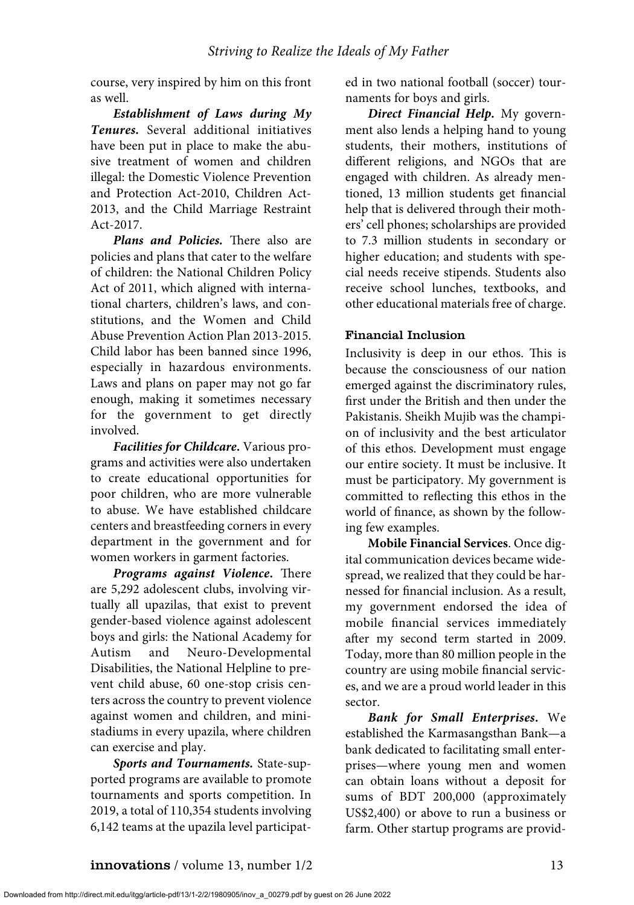course, very inspired by him on this front as well.

*Establishment of Laws during My Tenures.* Several additional initiatives have been put in place to make the abusive treatment of women and children illegal: the Domestic Violence Prevention and Protection Act-2010, Children Act-2013, and the Child Marriage Restraint Act-2017.

*Plans and Policies.* There also are policies and plans that cater to the welfare of children: the National Children Policy Act of 2011, which aligned with international charters, children's laws, and constitutions, and the Women and Child Abuse Prevention Action Plan 2013-2015. Child labor has been banned since 1996, especially in hazardous environments. Laws and plans on paper may not go far enough, making it sometimes necessary for the government to get directly involved.

*Facilities for Childcare***.** Various programs and activities were also undertaken to create educational opportunities for poor children, who are more vulnerable to abuse. We have established childcare centers and breastfeeding corners in every department in the government and for women workers in garment factories.

*Programs against Violence***.** There are 5,292 adolescent clubs, involving virtually all upazilas, that exist to prevent gender-based violence against adolescent boys and girls: the National Academy for Autism and Neuro-Developmental Disabilities, the National Helpline to prevent child abuse, 60 one-stop crisis centers across the country to prevent violence against women and children, and ministadiums in every upazila, where children can exercise and play.

*Sports and Tournaments.* State-supported programs are available to promote tournaments and sports competition. In 2019, a total of 110,354 students involving 6,142 teams at the upazila level participated in two national football (soccer) tournaments for boys and girls.

*Direct Financial Help.* My government also lends a helping hand to young students, their mothers, institutions of different religions, and NGOs that are engaged with children. As already mentioned, 13 million students get financial help that is delivered through their mothers' cell phones; scholarships are provided to 7.3 million students in secondary or higher education; and students with special needs receive stipends. Students also receive school lunches, textbooks, and other educational materials free of charge.

#### Financial Inclusion

Inclusivity is deep in our ethos. This is because the consciousness of our nation emerged against the discriminatory rules, first under the British and then under the Pakistanis. Sheikh Mujib was the champion of inclusivity and the best articulator of this ethos. Development must engage our entire society. It must be inclusive. It must be participatory. My government is committed to reflecting this ethos in the world of finance, as shown by the following few examples.

**Mobile Financial Services**. Once digital communication devices became widespread, we realized that they could be harnessed for financial inclusion. As a result, my government endorsed the idea of mobile financial services immediately after my second term started in 2009. Today, more than 80 million people in the country are using mobile financial services, and we are a proud world leader in this sector.

*Bank for Small Enterprises***.** We established the Karmasangsthan Bank—a bank dedicated to facilitating small enterprises—where young men and women can obtain loans without a deposit for sums of BDT 200,000 (approximately US\$2,400) or above to run a business or farm. Other startup programs are provid-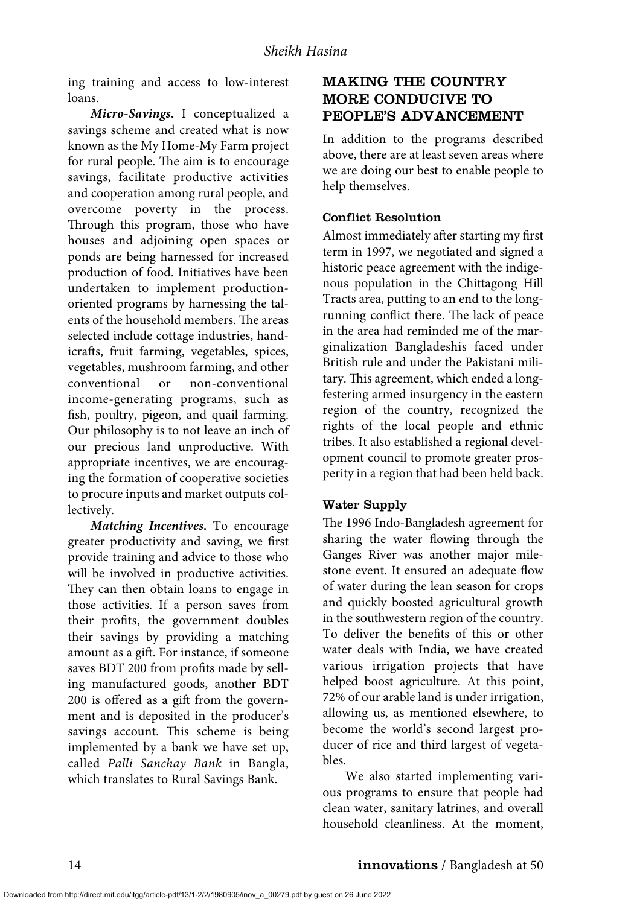ing training and access to low-interest loans.

*Micro-Savings***.** I conceptualized a savings scheme and created what is now known as the My Home-My Farm project for rural people. The aim is to encourage savings, facilitate productive activities and cooperation among rural people, and overcome poverty in the process. Through this program, those who have houses and adjoining open spaces or ponds are being harnessed for increased production of food. Initiatives have been undertaken to implement productionoriented programs by harnessing the talents of the household members. The areas selected include cottage industries, handicrafts, fruit farming, vegetables, spices, vegetables, mushroom farming, and other conventional or non-conventional income-generating programs, such as fish, poultry, pigeon, and quail farming. Our philosophy is to not leave an inch of our precious land unproductive. With appropriate incentives, we are encouraging the formation of cooperative societies to procure inputs and market outputs collectively.

*Matching Incentives***.** To encourage greater productivity and saving, we first provide training and advice to those who will be involved in productive activities. They can then obtain loans to engage in those activities. If a person saves from their profits, the government doubles their savings by providing a matching amount as a gift. For instance, if someone saves BDT 200 from profits made by selling manufactured goods, another BDT 200 is offered as a gift from the government and is deposited in the producer's savings account. This scheme is being implemented by a bank we have set up, called *Palli Sanchay Bank* in Bangla, which translates to Rural Savings Bank.

# MAKING THE COUNTRY MORE CONDUCIVE TO PEOPLE'S ADVANCEMENT

In addition to the programs described above, there are at least seven areas where we are doing our best to enable people to help themselves.

#### Conflict Resolution

Almost immediately after starting my first term in 1997, we negotiated and signed a historic peace agreement with the indigenous population in the Chittagong Hill Tracts area, putting to an end to the longrunning conflict there. The lack of peace in the area had reminded me of the marginalization Bangladeshis faced under British rule and under the Pakistani military. This agreement, which ended a longfestering armed insurgency in the eastern region of the country, recognized the rights of the local people and ethnic tribes. It also established a regional development council to promote greater prosperity in a region that had been held back.

#### Water Supply

The 1996 Indo-Bangladesh agreement for sharing the water flowing through the Ganges River was another major milestone event. It ensured an adequate flow of water during the lean season for crops and quickly boosted agricultural growth in the southwestern region of the country. To deliver the benefits of this or other water deals with India, we have created various irrigation projects that have helped boost agriculture. At this point, 72% of our arable land is under irrigation, allowing us, as mentioned elsewhere, to become the world's second largest producer of rice and third largest of vegetables.

We also started implementing various programs to ensure that people had clean water, sanitary latrines, and overall household cleanliness. At the moment,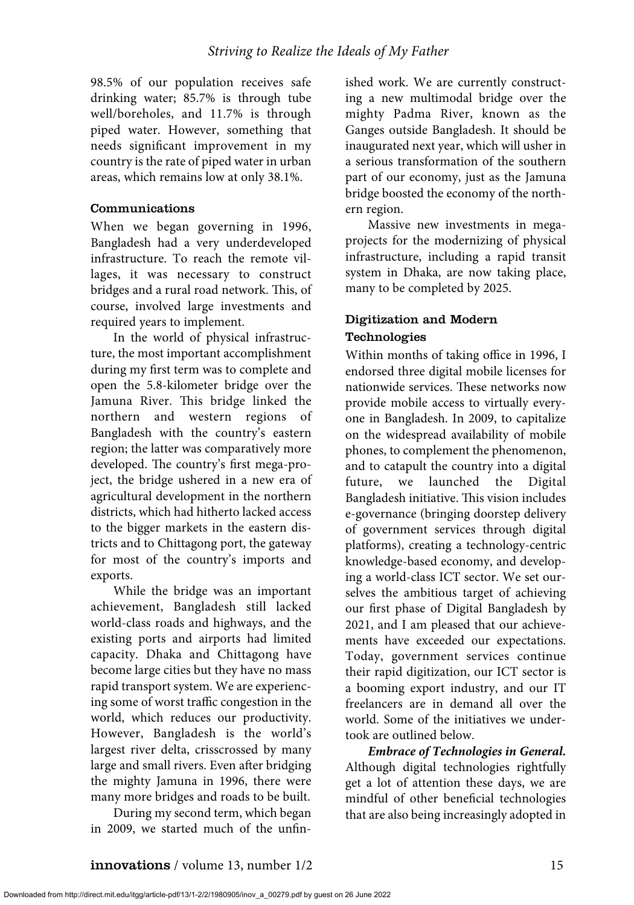98.5% of our population receives safe drinking water; 85.7% is through tube well/boreholes, and 11.7% is through piped water. However, something that needs significant improvement in my country is the rate of piped water in urban areas, which remains low at only 38.1%.

#### Communications

When we began governing in 1996, Bangladesh had a very underdeveloped infrastructure. To reach the remote villages, it was necessary to construct bridges and a rural road network. This, of course, involved large investments and required years to implement.

In the world of physical infrastructure, the most important accomplishment during my first term was to complete and open the 5.8-kilometer bridge over the Jamuna River. This bridge linked the northern and western regions of Bangladesh with the country's eastern region; the latter was comparatively more developed. The country's first mega-project, the bridge ushered in a new era of agricultural development in the northern districts, which had hitherto lacked access to the bigger markets in the eastern districts and to Chittagong port, the gateway for most of the country's imports and exports.

While the bridge was an important achievement, Bangladesh still lacked world-class roads and highways, and the existing ports and airports had limited capacity. Dhaka and Chittagong have become large cities but they have no mass rapid transport system. We are experiencing some of worst traffic congestion in the world, which reduces our productivity. However, Bangladesh is the world's largest river delta, crisscrossed by many large and small rivers. Even after bridging the mighty Jamuna in 1996, there were many more bridges and roads to be built.

During my second term, which began in 2009, we started much of the unfinished work. We are currently constructing a new multimodal bridge over the mighty Padma River, known as the Ganges outside Bangladesh. It should be inaugurated next year, which will usher in a serious transformation of the southern part of our economy, just as the Jamuna bridge boosted the economy of the northern region.

Massive new investments in megaprojects for the modernizing of physical infrastructure, including a rapid transit system in Dhaka, are now taking place, many to be completed by 2025.

## Digitization and Modern Technologies

Within months of taking office in 1996, I endorsed three digital mobile licenses for nationwide services. These networks now provide mobile access to virtually everyone in Bangladesh. In 2009, to capitalize on the widespread availability of mobile phones, to complement the phenomenon, and to catapult the country into a digital future, we launched the Digital Bangladesh initiative. This vision includes e-governance (bringing doorstep delivery of government services through digital platforms), creating a technology-centric knowledge-based economy, and developing a world-class ICT sector. We set ourselves the ambitious target of achieving our first phase of Digital Bangladesh by 2021, and I am pleased that our achievements have exceeded our expectations. Today, government services continue their rapid digitization, our ICT sector is a booming export industry, and our IT freelancers are in demand all over the world. Some of the initiatives we undertook are outlined below.

*Embrace of Technologies in General.* Although digital technologies rightfully get a lot of attention these days, we are mindful of other beneficial technologies that are also being increasingly adopted in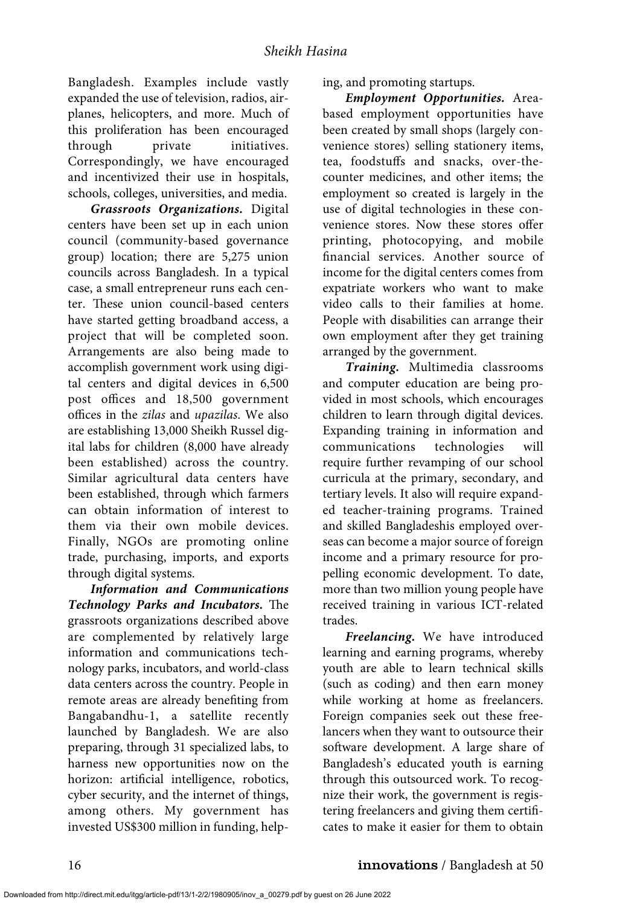Bangladesh. Examples include vastly expanded the use of television, radios, airplanes, helicopters, and more. Much of this proliferation has been encouraged through private initiatives. Correspondingly, we have encouraged and incentivized their use in hospitals, schools, colleges, universities, and media.

*Grassroots Organizations.* Digital centers have been set up in each union council (community-based governance group) location; there are 5,275 union councils across Bangladesh. In a typical case, a small entrepreneur runs each center. These union council-based centers have started getting broadband access, a project that will be completed soon. Arrangements are also being made to accomplish government work using digital centers and digital devices in 6,500 post offices and 18,500 government offices in the *zilas* and *upazilas*. We also are establishing 13,000 Sheikh Russel digital labs for children (8,000 have already been established) across the country. Similar agricultural data centers have been established, through which farmers can obtain information of interest to them via their own mobile devices. Finally, NGOs are promoting online trade, purchasing, imports, and exports through digital systems.

*Information and Communications Technology Parks and Incubators***.** The grassroots organizations described above are complemented by relatively large information and communications technology parks, incubators, and world-class data centers across the country. People in remote areas are already benefiting from Bangabandhu-1, a satellite recently launched by Bangladesh. We are also preparing, through 31 specialized labs, to harness new opportunities now on the horizon: artificial intelligence, robotics, cyber security, and the internet of things, among others. My government has invested US\$300 million in funding, helping, and promoting startups.

*Employment Opportunities.* Areabased employment opportunities have been created by small shops (largely convenience stores) selling stationery items, tea, foodstuffs and snacks, over-thecounter medicines, and other items; the employment so created is largely in the use of digital technologies in these convenience stores. Now these stores offer printing, photocopying, and mobile financial services. Another source of income for the digital centers comes from expatriate workers who want to make video calls to their families at home. People with disabilities can arrange their own employment after they get training arranged by the government.

*Training.* Multimedia classrooms and computer education are being provided in most schools, which encourages children to learn through digital devices. Expanding training in information and communications technologies will require further revamping of our school curricula at the primary, secondary, and tertiary levels. It also will require expanded teacher-training programs. Trained and skilled Bangladeshis employed overseas can become a major source of foreign income and a primary resource for propelling economic development. To date, more than two million young people have received training in various ICT-related trades.

*Freelancing.* We have introduced learning and earning programs, whereby youth are able to learn technical skills (such as coding) and then earn money while working at home as freelancers. Foreign companies seek out these freelancers when they want to outsource their software development. A large share of Bangladesh's educated youth is earning through this outsourced work. To recognize their work, the government is registering freelancers and giving them certificates to make it easier for them to obtain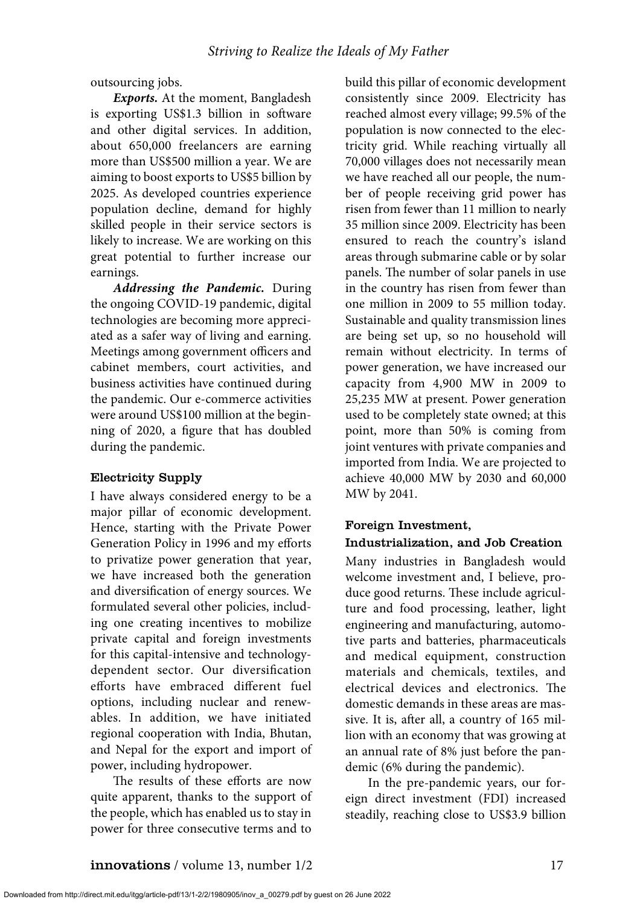outsourcing jobs.

*Exports.* At the moment, Bangladesh is exporting US\$1.3 billion in software and other digital services. In addition, about 650,000 freelancers are earning more than US\$500 million a year. We are aiming to boost exports to US\$5 billion by 2025. As developed countries experience population decline, demand for highly skilled people in their service sectors is likely to increase. We are working on this great potential to further increase our earnings.

*Addressing the Pandemic.* During the ongoing COVID-19 pandemic, digital technologies are becoming more appreciated as a safer way of living and earning. Meetings among government officers and cabinet members, court activities, and business activities have continued during the pandemic. Our e-commerce activities were around US\$100 million at the beginning of 2020, a figure that has doubled during the pandemic.

#### Electricity Supply

I have always considered energy to be a major pillar of economic development. Hence, starting with the Private Power Generation Policy in 1996 and my efforts to privatize power generation that year, we have increased both the generation and diversification of energy sources. We formulated several other policies, including one creating incentives to mobilize private capital and foreign investments for this capital-intensive and technologydependent sector. Our diversification efforts have embraced different fuel options, including nuclear and renewables. In addition, we have initiated regional cooperation with India, Bhutan, and Nepal for the export and import of power, including hydropower.

The results of these efforts are now quite apparent, thanks to the support of the people, which has enabled us to stay in power for three consecutive terms and to

build this pillar of economic development consistently since 2009. Electricity has reached almost every village; 99.5% of the population is now connected to the electricity grid. While reaching virtually all 70,000 villages does not necessarily mean we have reached all our people, the number of people receiving grid power has risen from fewer than 11 million to nearly 35 million since 2009. Electricity has been ensured to reach the country's island areas through submarine cable or by solar panels. The number of solar panels in use in the country has risen from fewer than one million in 2009 to 55 million today. Sustainable and quality transmission lines are being set up, so no household will remain without electricity. In terms of power generation, we have increased our capacity from 4,900 MW in 2009 to 25,235 MW at present. Power generation used to be completely state owned; at this point, more than 50% is coming from joint ventures with private companies and imported from India. We are projected to achieve 40,000 MW by 2030 and 60,000 MW by 2041.

# Foreign Investment,

#### Industrialization, and Job Creation

Many industries in Bangladesh would welcome investment and, I believe, produce good returns. These include agriculture and food processing, leather, light engineering and manufacturing, automotive parts and batteries, pharmaceuticals and medical equipment, construction materials and chemicals, textiles, and electrical devices and electronics. The domestic demands in these areas are massive. It is, after all, a country of 165 million with an economy that was growing at an annual rate of 8% just before the pandemic (6% during the pandemic).

In the pre-pandemic years, our foreign direct investment (FDI) increased steadily, reaching close to US\$3.9 billion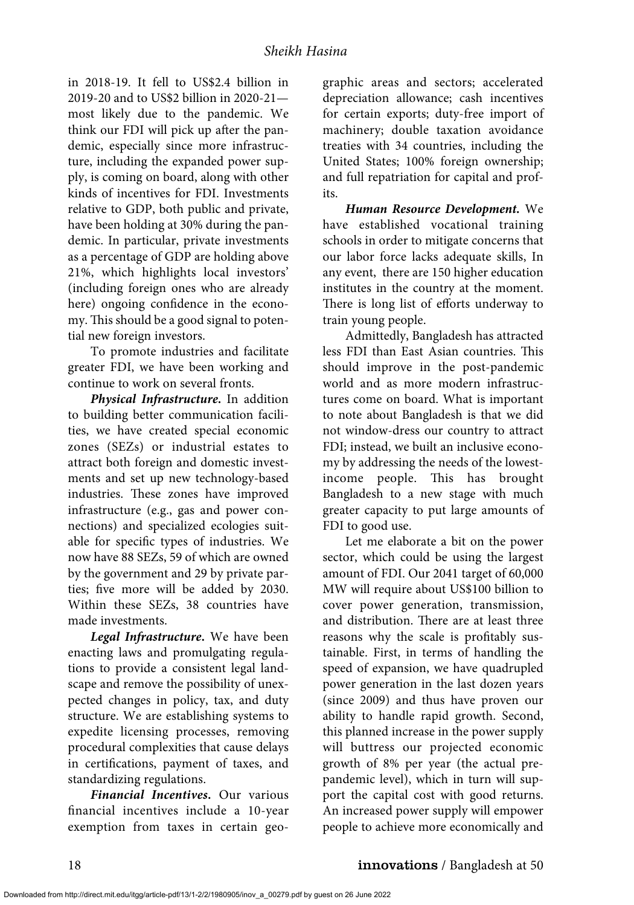in 2018-19. It fell to US\$2.4 billion in 2019-20 and to US\$2 billion in 2020-21 most likely due to the pandemic. We think our FDI will pick up after the pandemic, especially since more infrastructure, including the expanded power supply, is coming on board, along with other kinds of incentives for FDI. Investments relative to GDP, both public and private, have been holding at 30% during the pandemic. In particular, private investments as a percentage of GDP are holding above 21%, which highlights local investors' (including foreign ones who are already here) ongoing confidence in the economy. This should be a good signal to potential new foreign investors.

To promote industries and facilitate greater FDI, we have been working and continue to work on several fronts.

*Physical Infrastructure***.** In addition to building better communication facilities, we have created special economic zones (SEZs) or industrial estates to attract both foreign and domestic investments and set up new technology-based industries. These zones have improved infrastructure (e.g., gas and power connections) and specialized ecologies suitable for specific types of industries. We now have 88 SEZs, 59 of which are owned by the government and 29 by private parties; five more will be added by 2030. Within these SEZs, 38 countries have made investments.

*Legal Infrastructure***.** We have been enacting laws and promulgating regulations to provide a consistent legal landscape and remove the possibility of unexpected changes in policy, tax, and duty structure. We are establishing systems to expedite licensing processes, removing procedural complexities that cause delays in certifications, payment of taxes, and standardizing regulations.

*Financial Incentives***.** Our various financial incentives include a 10-year exemption from taxes in certain geographic areas and sectors; accelerated depreciation allowance; cash incentives for certain exports; duty-free import of machinery; double taxation avoidance treaties with 34 countries, including the United States; 100% foreign ownership; and full repatriation for capital and profits.

*Human Resource Development.* We have established vocational training schools in order to mitigate concerns that our labor force lacks adequate skills, In any event, there are 150 higher education institutes in the country at the moment. There is long list of efforts underway to train young people.

Admittedly, Bangladesh has attracted less FDI than East Asian countries. This should improve in the post-pandemic world and as more modern infrastructures come on board. What is important to note about Bangladesh is that we did not window-dress our country to attract FDI; instead, we built an inclusive economy by addressing the needs of the lowestincome people. This has brought Bangladesh to a new stage with much greater capacity to put large amounts of FDI to good use.

Let me elaborate a bit on the power sector, which could be using the largest amount of FDI. Our 2041 target of 60,000 MW will require about US\$100 billion to cover power generation, transmission, and distribution. There are at least three reasons why the scale is profitably sustainable. First, in terms of handling the speed of expansion, we have quadrupled power generation in the last dozen years (since 2009) and thus have proven our ability to handle rapid growth. Second, this planned increase in the power supply will buttress our projected economic growth of 8% per year (the actual prepandemic level), which in turn will support the capital cost with good returns. An increased power supply will empower people to achieve more economically and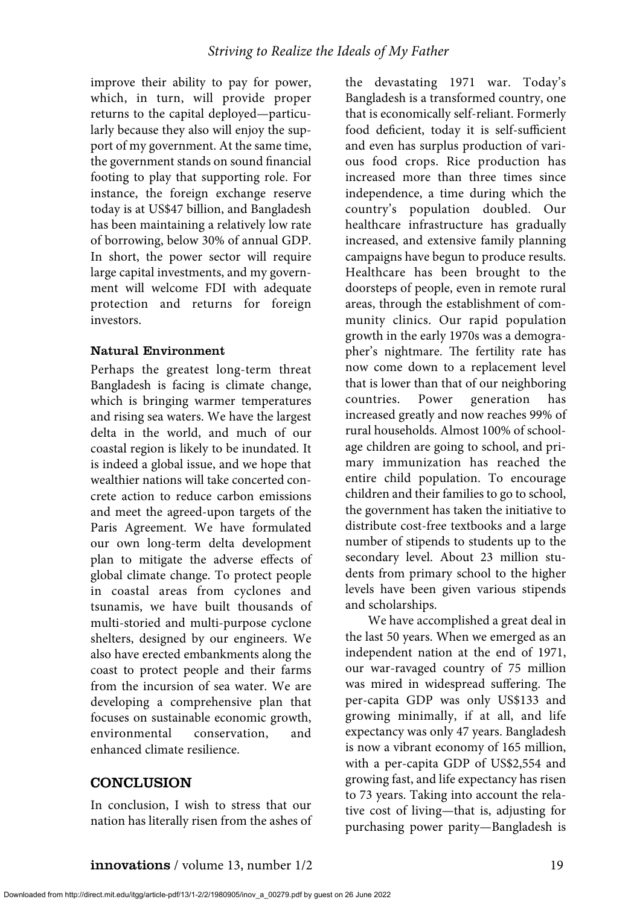improve their ability to pay for power, which, in turn, will provide proper returns to the capital deployed—particularly because they also will enjoy the support of my government. At the same time, the government stands on sound financial footing to play that supporting role. For instance, the foreign exchange reserve today is at US\$47 billion, and Bangladesh has been maintaining a relatively low rate of borrowing, below 30% of annual GDP. In short, the power sector will require large capital investments, and my government will welcome FDI with adequate protection and returns for foreign investors.

#### Natural Environment

Perhaps the greatest long-term threat Bangladesh is facing is climate change, which is bringing warmer temperatures and rising sea waters. We have the largest delta in the world, and much of our coastal region is likely to be inundated. It is indeed a global issue, and we hope that wealthier nations will take concerted concrete action to reduce carbon emissions and meet the agreed-upon targets of the Paris Agreement. We have formulated our own long-term delta development plan to mitigate the adverse effects of global climate change. To protect people in coastal areas from cyclones and tsunamis, we have built thousands of multi-storied and multi-purpose cyclone shelters, designed by our engineers. We also have erected embankments along the coast to protect people and their farms from the incursion of sea water. We are developing a comprehensive plan that focuses on sustainable economic growth, environmental conservation, and enhanced climate resilience.

# **CONCLUSION**

In conclusion, I wish to stress that our nation has literally risen from the ashes of

the devastating 1971 war. Today's Bangladesh is a transformed country, one that is economically self-reliant. Formerly food deficient, today it is self-sufficient and even has surplus production of various food crops. Rice production has increased more than three times since independence, a time during which the country's population doubled. Our healthcare infrastructure has gradually increased, and extensive family planning campaigns have begun to produce results. Healthcare has been brought to the doorsteps of people, even in remote rural areas, through the establishment of community clinics. Our rapid population growth in the early 1970s was a demographer's nightmare. The fertility rate has now come down to a replacement level that is lower than that of our neighboring countries. Power generation has increased greatly and now reaches 99% of rural households. Almost 100% of schoolage children are going to school, and primary immunization has reached the entire child population. To encourage children and their families to go to school, the government has taken the initiative to distribute cost-free textbooks and a large number of stipends to students up to the secondary level. About 23 million students from primary school to the higher levels have been given various stipends and scholarships.

We have accomplished a great deal in the last 50 years. When we emerged as an independent nation at the end of 1971, our war-ravaged country of 75 million was mired in widespread suffering. The per-capita GDP was only US\$133 and growing minimally, if at all, and life expectancy was only 47 years. Bangladesh is now a vibrant economy of 165 million, with a per-capita GDP of US\$2,554 and growing fast, and life expectancy has risen to 73 years. Taking into account the relative cost of living—that is, adjusting for purchasing power parity—Bangladesh is